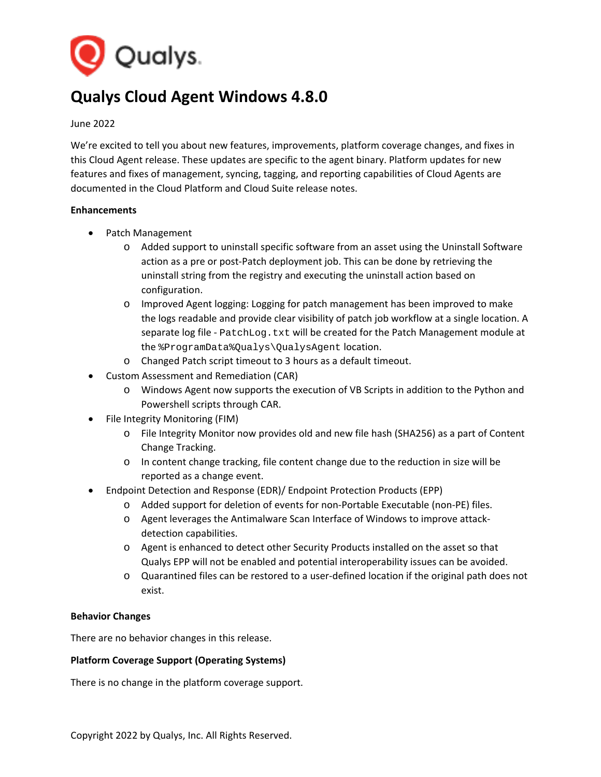

# **Qualys Cloud Agent Windows 4.8.0**

#### June 2022

We're excited to tell you about new features, improvements, platform coverage changes, and fixes in this Cloud Agent release. These updates are specific to the agent binary. Platform updates for new features and fixes of management, syncing, tagging, and reporting capabilities of Cloud Agents are documented in the Cloud Platform and Cloud Suite release notes.

#### **Enhancements**

- Patch Management
	- o Added support to uninstall specific software from an asset using the Uninstall Software action as a pre or post-Patch deployment job. This can be done by retrieving the uninstall string from the registry and executing the uninstall action based on configuration.
	- o Improved Agent logging: Logging for patch management has been improved to make the logs readable and provide clear visibility of patch job workflow at a single location. A separate log file - PatchLog.txt will be created for the Patch Management module at the %ProgramData%Qualys\QualysAgent location.
	- o Changed Patch script timeout to 3 hours as a default timeout.
- Custom Assessment and Remediation (CAR)
	- o Windows Agent now supports the execution of VB Scripts in addition to the Python and Powershell scripts through CAR.
- File Integrity Monitoring (FIM)
	- o File Integrity Monitor now provides old and new file hash (SHA256) as a part of Content Change Tracking.
	- o In content change tracking, file content change due to the reduction in size will be reported as a change event.
- Endpoint Detection and Response (EDR)/ Endpoint Protection Products (EPP)
	- o Added support for deletion of events for non-Portable Executable (non-PE) files.
	- o Agent leverages the Antimalware Scan Interface of Windows to improve attackdetection capabilities.
	- o Agent is enhanced to detect other Security Products installed on the asset so that Qualys EPP will not be enabled and potential interoperability issues can be avoided.
	- o Quarantined files can be restored to a user-defined location if the original path does not exist.

## **Behavior Changes**

There are no behavior changes in this release.

## **Platform Coverage Support (Operating Systems)**

There is no change in the platform coverage support.